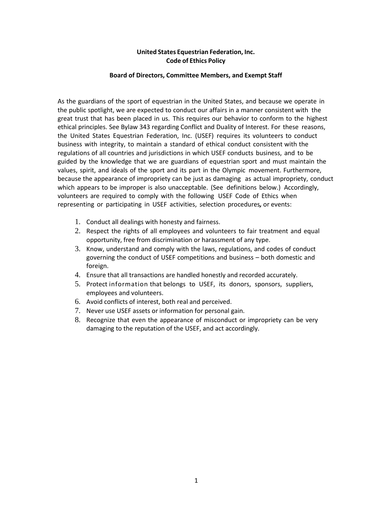## **United States Equestrian Federation, Inc. Code of Ethics Policy**

#### **Board of Directors, Committee Members, and Exempt Staff**

As the guardians of the sport of equestrian in the United States, and because we operate in the public spotlight, we are expected to conduct our affairs in a manner consistent with the great trust that has been placed in us. This requires our behavior to conform to the highest ethical principles. See Bylaw 343 regarding Conflict and Duality of Interest. For these reasons, the United States Equestrian Federation, Inc. (USEF) requires its volunteers to conduct business with integrity, to maintain a standard of ethical conduct consistent with the regulations of all countries and jurisdictions in which USEF conducts business, and to be guided by the knowledge that we are guardians of equestrian sport and must maintain the values, spirit, and ideals of the sport and its part in the Olympic movement. Furthermore, because the appearance of impropriety can be just as damaging as actual impropriety, conduct which appears to be improper is also unacceptable. (See definitions below.) Accordingly, volunteers are required to comply with the following USEF Code of Ethics when representing or participating in USEF activities, selection procedures*,* or events:

- 1. Conduct all dealings with honesty and fairness.
- 2. Respect the rights of all employees and volunteers to fair treatment and equal opportunity, free from discrimination or harassment of any type.
- 3. Know, understand and comply with the laws, regulations, and codes of conduct governing the conduct of USEF competitions and business – both domestic and foreign.
- 4. Ensure that all transactions are handled honestly and recorded accurately.
- 5. Protect information that belongs to USEF, its donors, sponsors, suppliers, employees and volunteers.
- 6. Avoid conflicts of interest, both real and perceived.
- 7. Never use USEF assets or information for personal gain.
- 8. Recognize that even the appearance of misconduct or impropriety can be very damaging to the reputation of the USEF, and act accordingly.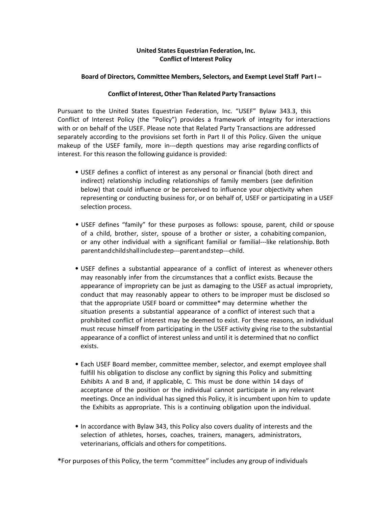## **United States Equestrian Federation, Inc. Conflict of Interest Policy**

#### **Board of Directors, Committee Members, Selectors, and Exempt Level Staff PartI --**

#### **Conflict of Interest, Other Than Related Party Transactions**

Pursuant to the United States Equestrian Federation, Inc. "USEF" Bylaw 343.3, this Conflict of Interest Policy (the "Policy") provides a framework of integrity for interactions with or on behalf of the USEF. Please note that Related Party Transactions are addressed separately according to the provisions set forth in Part II of this Policy. Given the unique makeup of the USEF family, more in---depth questions may arise regarding conflicts of interest. For this reason the following guidance is provided:

- USEF defines a conflict of interest as any personal or financial (both direct and indirect) relationship including relationships of family members (see definition below) that could influence or be perceived to influence your objectivity when representing or conducting business for, or on behalf of, USEF or participating in a USEF selection process.
- USEF defines "family" for these purposes as follows: spouse, parent, child or spouse of a child, brother, sister, spouse of a brother or sister, a cohabiting companion, or any other individual with a significant familial or familial---like relationship. Both parentandchildshallincludestep--‐parentandstep--‐child.
- USEF defines a substantial appearance of a conflict of interest as whenever others may reasonably infer from the circumstances that a conflict exists. Because the appearance of impropriety can be just as damaging to the USEF as actual impropriety, conduct that may reasonably appear to others to be improper must be disclosed so that the appropriate USEF board or committee\* may determine whether the situation presents a substantial appearance of a conflict of interest such that a prohibited conflict of interest may be deemed to exist. For these reasons, an individual must recuse himself from participating in the USEF activity giving rise to the substantial appearance of a conflict of interest unless and until it is determined that no conflict exists.
- Each USEF Board member, committee member, selector, and exempt employee shall fulfill his obligation to disclose any conflict by signing this Policy and submitting Exhibits A and B and, if applicable, C. This must be done within 14 days of acceptance of the position or the individual cannot participate in any relevant meetings. Once an individual has signed this Policy, it is incumbent upon him to update the Exhibits as appropriate. This is a continuing obligation upon the individual.
- In accordance with Bylaw 343, this Policy also covers duality of interests and the selection of athletes, horses, coaches, trainers, managers, administrators, veterinarians, officials and others for competitions.

**\***For purposes of this Policy, the term "committee" includes any group of individuals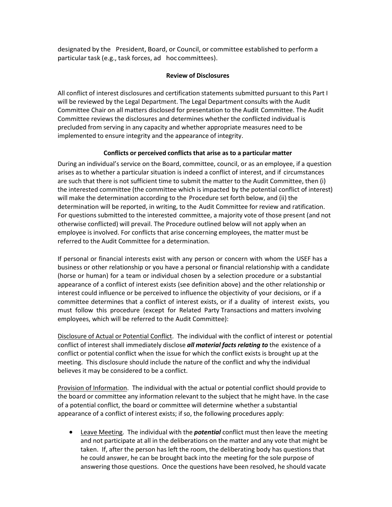designated by the President, Board, or Council, or committee established to perform a particular task (e.g., task forces, ad hoc committees).

## **Review of Disclosures**

All conflict of interest disclosures and certification statements submitted pursuant to this Part I will be reviewed by the Legal Department. The Legal Department consults with the Audit Committee Chair on all matters disclosed for presentation to the Audit Committee. The Audit Committee reviews the disclosures and determines whether the conflicted individual is precluded from serving in any capacity and whether appropriate measures need to be implemented to ensure integrity and the appearance of integrity.

## **Conflicts or perceived conflicts that arise as to a particular matter**

During an individual's service on the Board, committee, council, or as an employee, if a question arises as to whether a particular situation is indeed a conflict of interest, and if circumstances are such that there is not sufficient time to submit the matter to the Audit Committee, then (i) the interested committee (the committee which is impacted by the potential conflict of interest) will make the determination according to the Procedure set forth below, and (ii) the determination will be reported, in writing, to the Audit Committee for review and ratification. For questions submitted to the interested committee, a majority vote of those present (and not otherwise conflicted) will prevail. The Procedure outlined below will not apply when an employee is involved. For conflicts that arise concerning employees, the matter must be referred to the Audit Committee for a determination.

If personal or financial interests exist with any person or concern with whom the USEF has a business or other relationship or you have a personal or financial relationship with a candidate (horse or human) for a team or individual chosen by a selection procedure or a substantial appearance of a conflict of interest exists (see definition above) and the other relationship or interest could influence or be perceived to influence the objectivity of your decisions, or if a committee determines that a conflict of interest exists, or if a duality of interest exists, you must follow this procedure (except for Related Party Transactions and matters involving employees, which will be referred to the Audit Committee):

Disclosure of Actual or Potential Conflict. The individual with the conflict of interest or potential conflict of interest shall immediately disclose *all material facts relating to* the existence of a conflict or potential conflict when the issue for which the conflict exists is brought up at the meeting. This disclosure should include the nature of the conflict and why the individual believes it may be considered to be a conflict.

Provision of Information. The individual with the actual or potential conflict should provide to the board or committee any information relevant to the subject that he might have. In the case of a potential conflict, the board or committee will determine whether a substantial appearance of a conflict of interest exists; if so, the following procedures apply:

 Leave Meeting. The individual with the *potential* conflict must then leave the meeting and not participate at all in the deliberations on the matter and any vote that might be taken. If, after the person has left the room, the deliberating body has questions that he could answer, he can be brought back into the meeting for the sole purpose of answering those questions. Once the questions have been resolved, he should vacate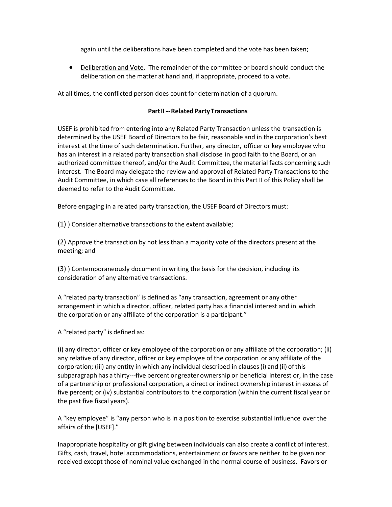again until the deliberations have been completed and the vote has been taken;

 Deliberation and Vote. The remainder of the committee or board should conduct the deliberation on the matter at hand and, if appropriate, proceed to a vote.

At all times, the conflicted person does count for determination of a quorum.

## **Part II --- Related Party Transactions**

USEF is prohibited from entering into any Related Party Transaction unless the transaction is determined by the USEF Board of Directors to be fair, reasonable and in the corporation's best interest at the time of such determination. Further, any director, officer or key employee who has an interest in a related party transaction shall disclose in good faith to the Board, or an authorized committee thereof, and/or the Audit Committee, the material facts concerning such interest. The Board may delegate the review and approval of Related Party Transactions to the Audit Committee, in which case all references to the Board in this Part II of this Policy shall be deemed to refer to the Audit Committee.

Before engaging in a related party transaction, the USEF Board of Directors must:

(1) ) Consider alternative transactions to the extent available;

(2) Approve the transaction by not less than a majority vote of the directors present at the meeting; and

(3) ) Contemporaneously document in writing the basis for the decision, including its consideration of any alternative transactions.

A "related party transaction" is defined as "any transaction, agreement or any other arrangement in which a director, officer, related party has a financial interest and in which the corporation or any affiliate of the corporation is a participant."

A "related party" is defined as:

(i) any director, officer or key employee of the corporation or any affiliate of the corporation; (ii) any relative of any director, officer or key employee of the corporation or any affiliate of the corporation; (iii) any entity in which any individual described in clauses (i) and (ii) of this subparagraph has a thirty--‐five percent or greater ownership or beneficial interest or, in the case of a partnership or professional corporation, a direct or indirect ownership interest in excess of five percent; or (iv) substantial contributors to the corporation (within the current fiscal year or the past five fiscal years).

A "key employee" is "any person who is in a position to exercise substantial influence over the affairs of the [USEF]."

Inappropriate hospitality or gift giving between individuals can also create a conflict of interest. Gifts, cash, travel, hotel accommodations, entertainment or favors are neither to be given nor received except those of nominal value exchanged in the normal course of business. Favors or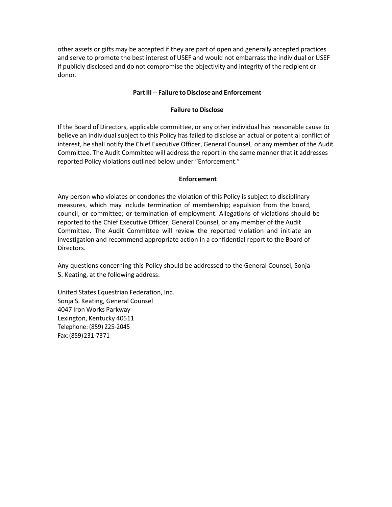other assets or gifts may be accepted if they are part of open and generally accepted practices and serve to promote the best interest of USEF and would not embarrass the individual or USEF if publicly disclosed and do not compromise the objectivity and integrity of the recipient or donor.

#### **PartIII --‐ Failure to Disclose and Enforcement**

#### **Failure to Disclose**

If the Board of Directors, applicable committee, or any other individual has reasonable cause to believe an individual subject to this Policy has failed to disclose an actual or potential conflict of interest, he shall notify the Chief Executive Officer, General Counsel, or any member of the Audit Committee. The Audit Committee will address the report in the same manner that it addresses reported Policy violations outlined below under "Enforcement."

#### **Enforcement**

Any person who violates or condones the violation of this Policy is subject to disciplinary measures, which may include termination of membership; expulsion from the board, council, or committee; or termination of employment. Allegations of violations should be reported to the Chief Executive Officer, General Counsel, or any member of the Audit Committee. The Audit Committee will review the reported violation and initiate an investigation and recommend appropriate action in a confidential report to the Board of Directors.

Any questions concerning this Policy should be addressed to the General Counsel, Sonja S. Keating, at the following address:

United States Equestrian Federation, Inc. Sonja S. Keating, General Counsel 4047 Iron Works Parkway Lexington, Kentucky 40511 Telephone: (859) 225-2045 Fax:(859)231‐7371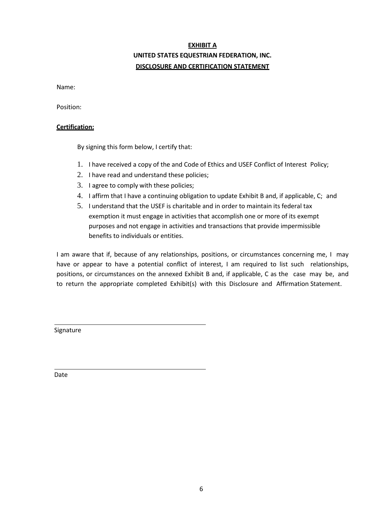# **EXHIBIT A UNITED STATES EQUESTRIAN FEDERATION, INC. DISCLOSURE AND CERTIFICATION STATEMENT**

Name:

Position:

### **Certification:**

By signing this form below, I certify that:

- 1. I have received a copy of the and Code of Ethics and USEF Conflict of Interest Policy;
- 2. I have read and understand these policies;
- 3. I agree to comply with these policies;
- 4. I affirm that I have a continuing obligation to update Exhibit B and, if applicable, C; and
- 5. I understand that the USEF is charitable and in order to maintain its federal tax exemption it must engage in activities that accomplish one or more of its exempt purposes and not engage in activities and transactions that provide impermissible benefits to individuals or entities.

I am aware that if, because of any relationships, positions, or circumstances concerning me, I may have or appear to have a potential conflict of interest, I am required to list such relationships, positions, or circumstances on the annexed Exhibit B and, if applicable, C as the case may be, and to return the appropriate completed Exhibit(s) with this Disclosure and Affirmation Statement.

Signature

Date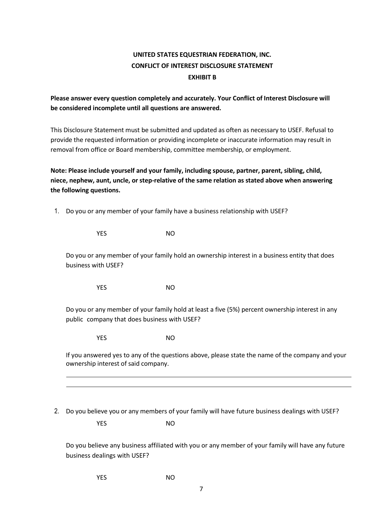# **UNITED STATES EQUESTRIAN FEDERATION, INC. CONFLICT OF INTEREST DISCLOSURE STATEMENT EXHIBIT B**

## **Please answer every question completely and accurately. Your Conflict of Interest Disclosure will be considered incomplete until all questions are answered.**

This Disclosure Statement must be submitted and updated as often as necessary to USEF. Refusal to provide the requested information or providing incomplete or inaccurate information may result in removal from office or Board membership, committee membership, or employment.

**Note: Please include yourself and your family, including spouse, partner, parent, sibling, child, niece, nephew, aunt, uncle, or step-relative of the same relation as stated above when answering the following questions.** 

1. Do you or any member of your family have a business relationship with USEF?

YES NO

Do you or any member of your family hold an ownership interest in a business entity that does business with USEF?

YES NO

Do you or any member of your family hold at least a five (5%) percent ownership interest in any public company that does business with USEF?

YES NO

If you answered yes to any of the questions above, please state the name of the company and your ownership interest of said company.

2. Do you believe you or any members of your family will have future business dealings with USEF?

YES NO

Do you believe any business affiliated with you or any member of your family will have any future business dealings with USEF?

YES NO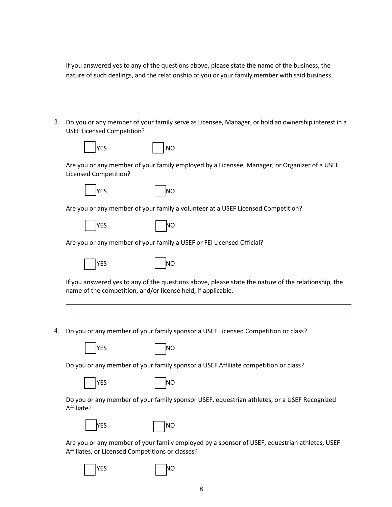If you answered yes to any of the questions above, please state the name of the business, the nature of such dealings, and the relationship of you or your family member with said business.

| <b>USEF Licensed Competition?</b> | Do you or any member of your family serve as Licensee, Manager, or hold an ownership interest in a                                                                  |
|-----------------------------------|---------------------------------------------------------------------------------------------------------------------------------------------------------------------|
| <b>YES</b>                        | <b>NO</b>                                                                                                                                                           |
| <b>Licensed Competition?</b>      | Are you or any member of your family employed by a Licensee, Manager, or Organizer of a USEF                                                                        |
| YES                               | ΝO                                                                                                                                                                  |
|                                   | Are you or any member of your family a volunteer at a USEF Licensed Competition?                                                                                    |
| <b>YES</b>                        | NΟ                                                                                                                                                                  |
|                                   | Are you or any member of your family a USEF or FEI Licensed Official?                                                                                               |
| YES                               | ΝO                                                                                                                                                                  |
|                                   | If you answered yes to any of the questions above, please state the nature of the relationship, the<br>name of the competition, and/or license held, if applicable. |
|                                   |                                                                                                                                                                     |
|                                   | Do you or any member of your family sponsor a USEF Licensed Competition or class?                                                                                   |
| YES                               | ΝO                                                                                                                                                                  |
|                                   | Do you or any member of your family sponsor a USEF Affiliate competition or class?                                                                                  |
| YES                               | NΟ                                                                                                                                                                  |
| Affiliate?                        | Do you or any member of your family sponsor USEF, equestrian athletes, or a USEF Recognized                                                                         |
| YES                               | <b>NO</b>                                                                                                                                                           |
|                                   | Are you or any member of your family employed by a sponsor of USEF, equestrian athletes, USEF<br>Affiliates, or Licensed Competitions or classes?                   |

 $7$  YES

| ۱  |              |  |  |
|----|--------------|--|--|
| M. | I<br>۰.<br>v |  |  |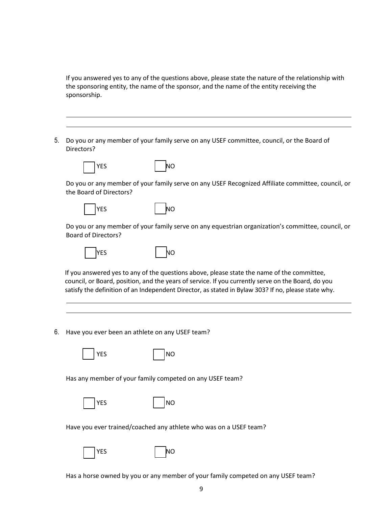If you answered yes to any of the questions above, please state the nature of the relationship with the sponsoring entity, the name of the sponsor, and the name of the entity receiving the sponsorship.

5. Do you or any member of your family serve on any USEF committee, council, or the Board of Directors?



Do you or any member of your family serve on any USEF Recognized Affiliate committee, council, or the Board of Directors?

|  | ۰. |
|--|----|
|--|----|

| YES | ΝO |
|-----|----|
|     |    |

Do you or any member of your family serve on any equestrian organization's committee, council, or Board of Directors?

| <b>YES</b> | NΟ |
|------------|----|
|------------|----|



If you answered yes to any of the questions above, please state the name of the committee, council, or Board, position, and the years of service. If you currently serve on the Board, do you satisfy the definition of an Independent Director, as stated in Bylaw 303? If no, please state why.

6. Have you ever been an athlete on any USEF team?

 $\overline{S}$  | |NO

Has any member of your family competed on any USEF team?

|--|--|

 $\mathsf{S}$  NO  $\blacksquare$ 

Have you ever trained/coached any athlete who was on a USEF team?



|  | M.<br>۰, |
|--|----------|
|  |          |

Has a horse owned by you or any member of your family competed on any USEF team?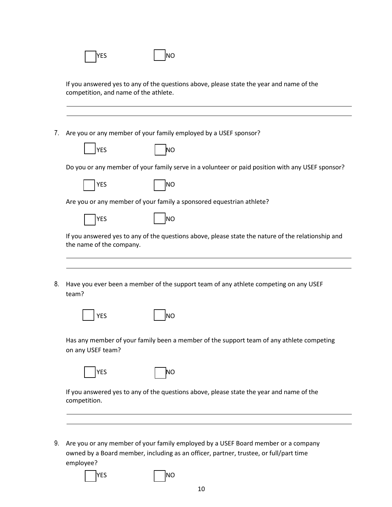| competition, and name of the athlete. |                                                                                                    |
|---------------------------------------|----------------------------------------------------------------------------------------------------|
|                                       | Are you or any member of your family employed by a USEF sponsor?                                   |
| <b>YES</b>                            | ΝO                                                                                                 |
|                                       | Do you or any member of your family serve in a volunteer or paid position with any USEF sponsor?   |
| <b>YES</b>                            | NO                                                                                                 |
|                                       | Are you or any member of your family a sponsored equestrian athlete?                               |
| <b>YES</b>                            | lno                                                                                                |
| the name of the company.              | If you answered yes to any of the questions above, please state the nature of the relationship and |
| team?                                 | Have you ever been a member of the support team of any athlete competing on any USEF               |
| YES                                   | NΟ                                                                                                 |
|                                       |                                                                                                    |
| on any USEF team?                     | Has any member of your family been a member of the support team of any athlete competing           |
| <b>YES</b>                            | ΝO                                                                                                 |

9. Are you or any member of your family employed by a USEF Board member or a company owned by a Board member, including as an officer, partner, trustee, or full/part time employee?

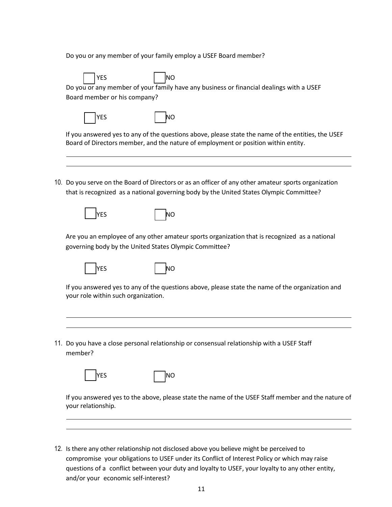Do you or any member of your family employ a USEF Board member?

YES | | | | NO Do you or any member of your family have any business or financial dealings with a USEF Board member or his company? YES I NO If you answered yes to any of the questions above, please state the name of the entities, the USEF Board of Directors member, and the nature of employment or position within entity. 10. Do you serve on the Board of Directors or as an officer of any other amateur sports organization that is recognized as a national governing body by the United States Olympic Committee? **YES** NO Are you an employee of any other amateur sports organization that is recognized as a national governing body by the United States Olympic Committee?

If you answered yes to any of the questions above, please state the name of the organization and your role within such organization.

11. Do you have a close personal relationship or consensual relationship with a USEF Staff member?

| ۰. |
|----|
|    |

| YES |  |  | <b>INO</b> |
|-----|--|--|------------|
|-----|--|--|------------|

lyes I lino

If you answered yes to the above, please state the name of the USEF Staff member and the nature of your relationship.

12. Is there any other relationship not disclosed above you believe might be perceived to compromise your obligations to USEF under its Conflict of Interest Policy or which may raise questions of a conflict between your duty and loyalty to USEF, your loyalty to any other entity, and/or your economic self-interest?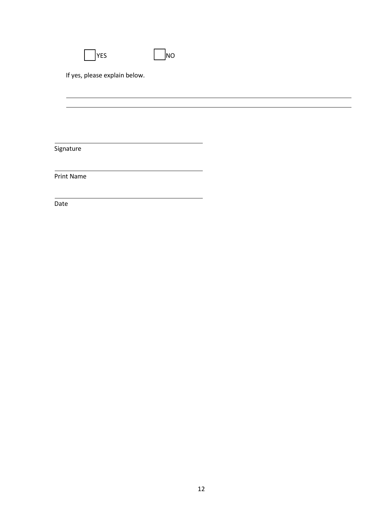| <b>YES</b>                    | <b>NO</b> |  |  |
|-------------------------------|-----------|--|--|
| If yes, please explain below. |           |  |  |
|                               |           |  |  |
|                               |           |  |  |
|                               |           |  |  |
| Signature                     |           |  |  |

Print Name

Date